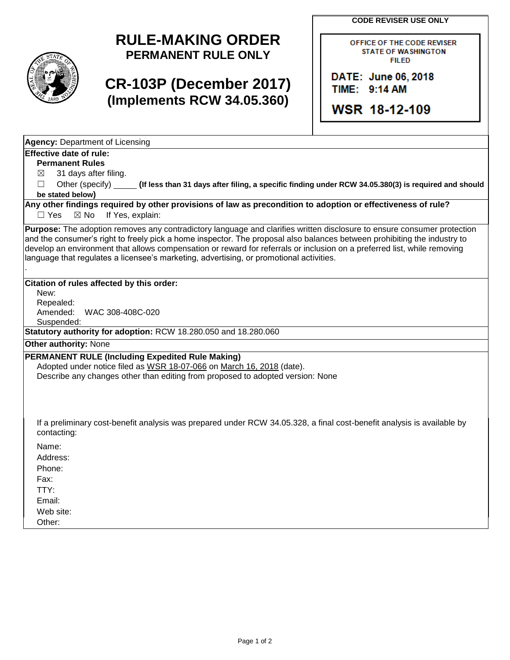**CODE REVISER USE ONLY**



## **RULE-MAKING ORDER PERMANENT RULE ONLY**

# **CR-103P (December 2017) (Implements RCW 34.05.360)**

OFFICE OF THE CODE REVISER **STATE OF WASHINGTON FILED** 

DATE: June 06, 2018 TIME: 9:14 AM

WSR 18-12-109

**Agency:** Department of Licensing

## **Effective date of rule:**

**Permanent Rules**

 $\boxtimes$  31 days after filing.

☐ Other (specify) **(If less than 31 days after filing, a specific finding under RCW 34.05.380(3) is required and should be stated below)**

**Any other findings required by other provisions of law as precondition to adoption or effectiveness of rule?** □ Yes ⊠ No If Yes, explain:

**Purpose:** The adoption removes any contradictory language and clarifies written disclosure to ensure consumer protection and the consumer's right to freely pick a home inspector. The proposal also balances between prohibiting the industry to develop an environment that allows compensation or reward for referrals or inclusion on a preferred list, while removing language that regulates a licensee's marketing, advertising, or promotional activities.

#### **Citation of rules affected by this order:**

New: Repealed: Amended: WAC 308-408C-020 Suspended:

**Statutory authority for adoption:** RCW 18.280.050 and 18.280.060

**Other authority:** None

.

### **PERMANENT RULE (Including Expedited Rule Making)**

Adopted under notice filed as WSR 18-07-066 on March 16, 2018 (date). Describe any changes other than editing from proposed to adopted version: None

If a preliminary cost-benefit analysis was prepared under RCW 34.05.328, a final cost-benefit analysis is available by contacting:

Name:

Address: Phone:

Fax:

TTY:

Email:

Web site:

Other: